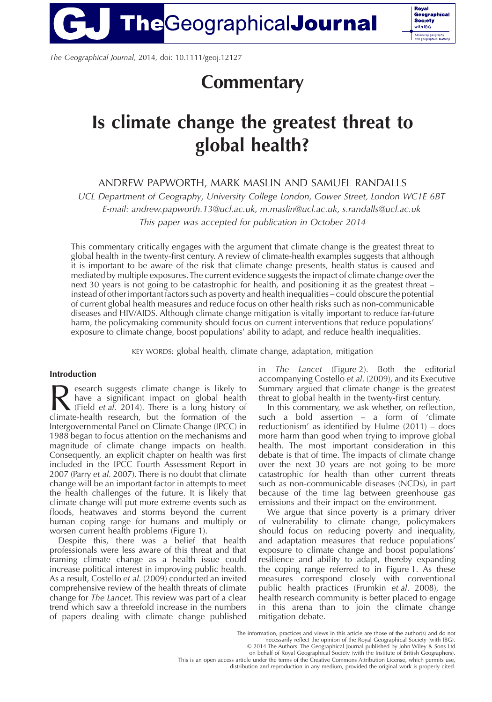

*The Geographical Journal*, 2014, doi: 10.1111/geoj.12127

## **Commentary**

# **Is climate change the greatest threat to global health?**

### ANDREW PAPWORTH, MARK MASLIN AND SAMUEL RANDALLS

*UCL Department of Geography, University College London, Gower Street, London WC1E 6BT E-mail: andrew.papworth.13@ucl.ac.uk, m.maslin@ucl.ac.uk, s.randalls@ucl.ac.uk This paper was accepted for publication in October 2014*

This commentary critically engages with the argument that climate change is the greatest threat to global health in the twenty-first century. A review of climate-health examples suggests that although it is important to be aware of the risk that climate change presents, health status is caused and mediated by multiple exposures. The current evidence suggests the impact of climate change over the next 30 years is not going to be catastrophic for health, and positioning it as the greatest threat – instead of other important factors such as poverty and health inequalities – could obscure the potential of current global health measures and reduce focus on other health risks such as non-communicable diseases and HIV/AIDS. Although climate change mitigation is vitally important to reduce far-future harm, the policymaking community should focus on current interventions that reduce populations' exposure to climate change, boost populations' ability to adapt, and reduce health inequalities.

KEY WORDS: global health, climate change, adaptation, mitigation

#### **Introduction**

**Research suggests climate change is likely to** have a significant impact on global health (Field et al. 2014). There is a long history of climate-health research, but the formation of the have a significant impact on global health (Field *et al*. 2014). There is a long history of Intergovernmental Panel on Climate Change (IPCC) in 1988 began to focus attention on the mechanisms and magnitude of climate change impacts on health. Consequently, an explicit chapter on health was first included in the IPCC Fourth Assessment Report in 2007 (Parry *et al*. 2007). There is no doubt that climate change will be an important factor in attempts to meet the health challenges of the future. It is likely that climate change will put more extreme events such as floods, heatwaves and storms beyond the current human coping range for humans and multiply or worsen current health problems (Figure 1).

Despite this, there was a belief that health professionals were less aware of this threat and that framing climate change as a health issue could increase political interest in improving public health. As a result, Costello *et al*. (2009) conducted an invited comprehensive review of the health threats of climate change for *The Lancet*. This review was part of a clear trend which saw a threefold increase in the numbers of papers dealing with climate change published

in *The Lancet* (Figure 2). Both the editorial accompanying Costello *et al*. (2009), and its Executive Summary argued that climate change is the greatest threat to global health in the twenty-first century.

In this commentary, we ask whether, on reflection, such a bold assertion – a form of 'climate reductionism' as identified by Hulme (2011) – does more harm than good when trying to improve global health. The most important consideration in this debate is that of time. The impacts of climate change over the next 30 years are not going to be more catastrophic for health than other current threats such as non-communicable diseases (NCDs), in part because of the time lag between greenhouse gas emissions and their impact on the environment.

We argue that since poverty is a primary driver of vulnerability to climate change, policymakers should focus on reducing poverty and inequality, and adaptation measures that reduce populations' exposure to climate change and boost populations' resilience and ability to adapt, thereby expanding the coping range referred to in Figure 1. As these measures correspond closely with conventional public health practices (Frumkin *et al*. 2008), the health research community is better placed to engage in this arena than to join the climate change mitigation debate.

The information, practices and views in this article are those of the author(s) and do not necessarily reflect the opinion of the Royal Geographical Society (with IBG). © 2014 The Authors. The Geographical Journal published by John Wiley & Sons Ltd on behalf of Royal Geographical Society (with the Institute of British Geographers). This is an open access article under the terms of the Creative Commons Attribution License, which permits use, distribution and reproduction in any medium, provided the original work is properly cited.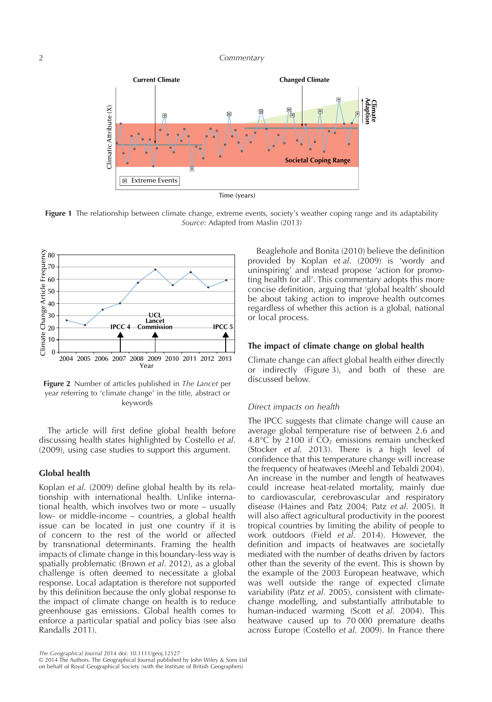

**Figure 1** The relationship between climate change, extreme events, society's weather coping range and its adaptability *Source*: Adapted from Maslin (2013)



**Figure 2** Number of articles published in *The Lancet* per year referring to 'climate change' in the title, abstract or keywords

The article will first define global health before discussing health states highlighted by Costello *et al*. (2009), using case studies to support this argument.

#### **Global health**

Koplan *et al*. (2009) define global health by its relationship with international health. Unlike international health, which involves two or more – usually low- or middle-income – countries, a global health issue can be located in just one country if it is of concern to the rest of the world or affected by transnational determinants. Framing the health impacts of climate change in this boundary-less way is spatially problematic (Brown *et al*. 2012), as a global challenge is often deemed to necessitate a global response. Local adaptation is therefore not supported by this definition because the only global response to the impact of climate change on health is to reduce greenhouse gas emissions. Global health comes to enforce a particular spatial and policy bias (see also Randalls 2011).

Beaglehole and Bonita (2010) believe the definition provided by Koplan *et al*. (2009) is 'wordy and uninspiring' and instead propose 'action for promoting health for all'. This commentary adopts this more concise definition, arguing that 'global health' should be about taking action to improve health outcomes regardless of whether this action is a global, national or local process.

#### **The impact of climate change on global health**

Climate change can affect global health either directly or indirectly (Figure 3), and both of these are discussed below.

#### *Direct impacts on health*

The IPCC suggests that climate change will cause an average global temperature rise of between 2.6 and 4.8 $\degree$ C by 2100 if  $CO<sub>2</sub>$  emissions remain unchecked (Stocker *et al*. 2013). There is a high level of confidence that this temperature change will increase the frequency of heatwaves (Meehl and Tebaldi 2004). An increase in the number and length of heatwaves could increase heat-related mortality, mainly due to cardiovascular, cerebrovascular and respiratory disease (Haines and Patz 2004; Patz *et al*. 2005). It will also affect agricultural productivity in the poorest tropical countries by limiting the ability of people to work outdoors (Field *et al*. 2014). However, the definition and impacts of heatwaves are societally mediated with the number of deaths driven by factors other than the severity of the event. This is shown by the example of the 2003 European heatwave, which was well outside the range of expected climate variability (Patz *et al*. 2005), consistent with climatechange modelling, and substantially attributable to human-induced warming (Scott *et al*. 2004). This heatwave caused up to 70 000 premature deaths across Europe (Costello *et al*. 2009). In France there

*The Geographical Journal* 2014 doi: 10.1111/geoj.12127 © 2014 The Authors. The Geographical Journal published by John Wiley & Sons Ltd on behalf of Royal Geographical Society (with the Institute of British Geographers)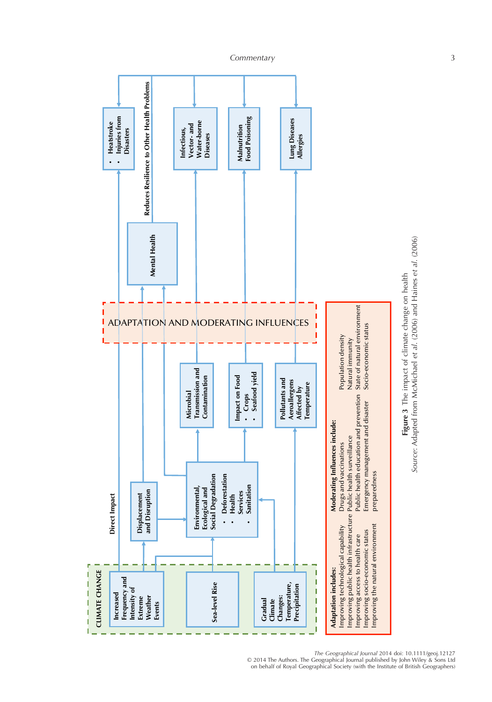

Source: Adapted from McMichael et al. (2006) and Haines et al. (2006) *Source*: Adapted from McMichael *et al*. (2006) and Haines *et al*. (2006) Figure 3 The impact of climate change on health **Figure 3** The impact of climate change on health

*The Geographical Journal 2*014 doi: 10.1111/geoj.12127<br>© 2014 The Authors. The Geographical Journal published by John Wiley & Sons Ltd<br>on behalf of Royal Geographical Society (with the Institute of British Geographers)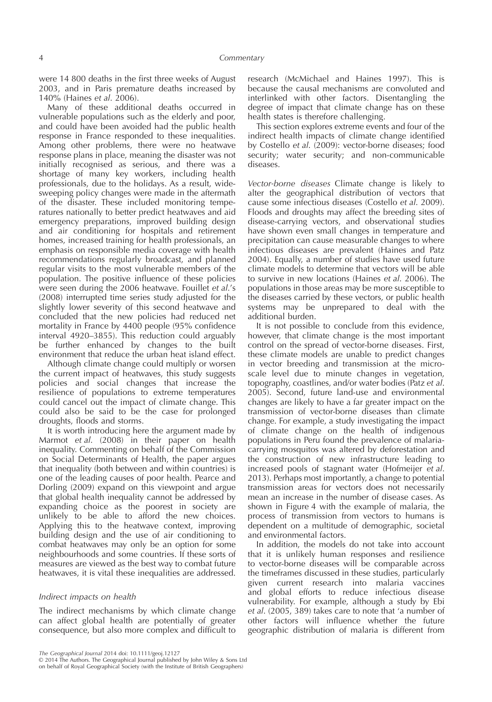were 14 800 deaths in the first three weeks of August 2003, and in Paris premature deaths increased by 140% (Haines *et al*. 2006).

Many of these additional deaths occurred in vulnerable populations such as the elderly and poor, and could have been avoided had the public health response in France responded to these inequalities. Among other problems, there were no heatwave response plans in place, meaning the disaster was not initially recognised as serious, and there was a shortage of many key workers, including health professionals, due to the holidays. As a result, widesweeping policy changes were made in the aftermath of the disaster. These included monitoring temperatures nationally to better predict heatwaves and aid emergency preparations, improved building design and air conditioning for hospitals and retirement homes, increased training for health professionals, an emphasis on responsible media coverage with health recommendations regularly broadcast, and planned regular visits to the most vulnerable members of the population. The positive influence of these policies were seen during the 2006 heatwave. Fouillet *et al*.'s (2008) interrupted time series study adjusted for the slightly lower severity of this second heatwave and concluded that the new policies had reduced net mortality in France by 4400 people (95% confidence interval 4920–3855). This reduction could arguably be further enhanced by changes to the built environment that reduce the urban heat island effect.

Although climate change could multiply or worsen the current impact of heatwaves, this study suggests policies and social changes that increase the resilience of populations to extreme temperatures could cancel out the impact of climate change. This could also be said to be the case for prolonged droughts, floods and storms.

It is worth introducing here the argument made by Marmot *et al*. (2008) in their paper on health inequality. Commenting on behalf of the Commission on Social Determinants of Health, the paper argues that inequality (both between and within countries) is one of the leading causes of poor health. Pearce and Dorling (2009) expand on this viewpoint and argue that global health inequality cannot be addressed by expanding choice as the poorest in society are unlikely to be able to afford the new choices. Applying this to the heatwave context, improving building design and the use of air conditioning to combat heatwaves may only be an option for some neighbourhoods and some countries. If these sorts of measures are viewed as the best way to combat future heatwaves, it is vital these inequalities are addressed.

#### *Indirect impacts on health*

The indirect mechanisms by which climate change can affect global health are potentially of greater consequence, but also more complex and difficult to

research (McMichael and Haines 1997). This is because the causal mechanisms are convoluted and interlinked with other factors. Disentangling the degree of impact that climate change has on these health states is therefore challenging.

This section explores extreme events and four of the indirect health impacts of climate change identified by Costello *et al*. (2009): vector-borne diseases; food security; water security; and non-communicable diseases.

*Vector-borne diseases* Climate change is likely to alter the geographical distribution of vectors that cause some infectious diseases (Costello *et al*. 2009). Floods and droughts may affect the breeding sites of disease-carrying vectors, and observational studies have shown even small changes in temperature and precipitation can cause measurable changes to where infectious diseases are prevalent (Haines and Patz 2004). Equally, a number of studies have used future climate models to determine that vectors will be able to survive in new locations (Haines *et al*. 2006). The populations in those areas may be more susceptible to the diseases carried by these vectors, or public health systems may be unprepared to deal with the additional burden.

It is not possible to conclude from this evidence, however, that climate change is the most important control on the spread of vector-borne diseases. First, these climate models are unable to predict changes in vector breeding and transmission at the microscale level due to minute changes in vegetation, topography, coastlines, and/or water bodies (Patz *et al*. 2005). Second, future land-use and environmental changes are likely to have a far greater impact on the transmission of vector-borne diseases than climate change. For example, a study investigating the impact of climate change on the health of indigenous populations in Peru found the prevalence of malariacarrying mosquitos was altered by deforestation and the construction of new infrastructure leading to increased pools of stagnant water (Hofmeijer *et al*. 2013). Perhaps most importantly, a change to potential transmission areas for vectors does not necessarily mean an increase in the number of disease cases. As shown in Figure 4 with the example of malaria, the process of transmission from vectors to humans is dependent on a multitude of demographic, societal and environmental factors.

In addition, the models do not take into account that it is unlikely human responses and resilience to vector-borne diseases will be comparable across the timeframes discussed in these studies, particularly given current research into malaria vaccines and global efforts to reduce infectious disease vulnerability. For example, although a study by Ebi *et al*. (2005, 389) takes care to note that 'a number of other factors will influence whether the future geographic distribution of malaria is different from

*The Geographical Journal* 2014 doi: 10.1111/geoj.12127 © 2014 The Authors. The Geographical Journal published by John Wiley & Sons Ltd on behalf of Royal Geographical Society (with the Institute of British Geographers)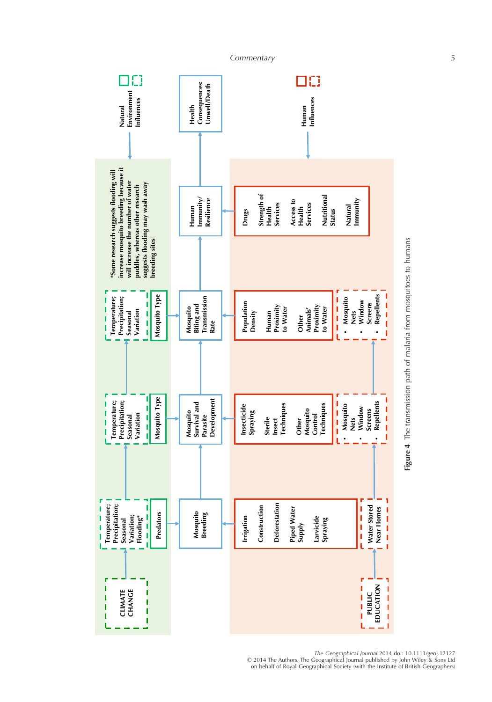



*Commentary* 5

*The Geographical Journal 2*014 doi: 10.1111/geoj.12127<br>© 2014 The Authors. The Geographical Journal published by John Wiley & Sons Ltd<br>on behalf of Royal Geographical Society (with the Institute of British Geographers)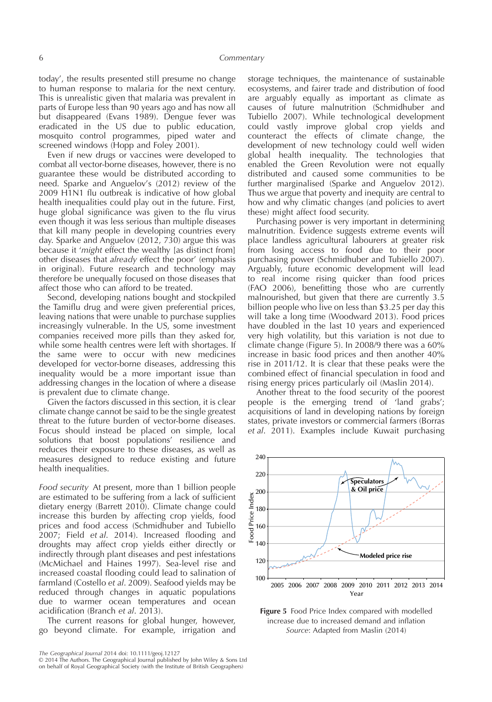today', the results presented still presume no change to human response to malaria for the next century. This is unrealistic given that malaria was prevalent in parts of Europe less than 90 years ago and has now all but disappeared (Evans 1989). Dengue fever was eradicated in the US due to public education, mosquito control programmes, piped water and screened windows (Hopp and Foley 2001).

Even if new drugs or vaccines were developed to combat all vector-borne diseases, however, there is no guarantee these would be distributed according to need. Sparke and Anguelov's (2012) review of the 2009 H1N1 flu outbreak is indicative of how global health inequalities could play out in the future. First, huge global significance was given to the flu virus even though it was less serious than multiple diseases that kill many people in developing countries every day. Sparke and Anguelov (2012, 730) argue this was because it '*might* effect the wealthy [as distinct from] other diseases that *already* effect the poor' (emphasis in original). Future research and technology may therefore be unequally focused on those diseases that affect those who can afford to be treated.

Second, developing nations bought and stockpiled the Tamiflu drug and were given preferential prices, leaving nations that were unable to purchase supplies increasingly vulnerable. In the US, some investment companies received more pills than they asked for, while some health centres were left with shortages. If the same were to occur with new medicines developed for vector-borne diseases, addressing this inequality would be a more important issue than addressing changes in the location of where a disease is prevalent due to climate change.

Given the factors discussed in this section, it is clear climate change cannot be said to be the single greatest threat to the future burden of vector-borne diseases. Focus should instead be placed on simple, local solutions that boost populations' resilience and reduces their exposure to these diseases, as well as measures designed to reduce existing and future health inequalities.

*Food security* At present, more than 1 billion people are estimated to be suffering from a lack of sufficient dietary energy (Barrett 2010). Climate change could increase this burden by affecting crop yields, food prices and food access (Schmidhuber and Tubiello 2007; Field *et al*. 2014). Increased flooding and droughts may affect crop yields either directly or indirectly through plant diseases and pest infestations (McMichael and Haines 1997). Sea-level rise and increased coastal flooding could lead to salination of farmland (Costello *et al*. 2009). Seafood yields may be reduced through changes in aquatic populations due to warmer ocean temperatures and ocean acidification (Branch *et al*. 2013).

The current reasons for global hunger, however, go beyond climate. For example, irrigation and

*The Geographical Journal* 2014 doi: 10.1111/geoj.12127 © 2014 The Authors. The Geographical Journal published by John Wiley & Sons Ltd on behalf of Royal Geographical Society (with the Institute of British Geographers)

storage techniques, the maintenance of sustainable ecosystems, and fairer trade and distribution of food are arguably equally as important as climate as causes of future malnutrition (Schmidhuber and Tubiello 2007). While technological development could vastly improve global crop yields and counteract the effects of climate change, the development of new technology could well widen global health inequality. The technologies that enabled the Green Revolution were not equally distributed and caused some communities to be further marginalised (Sparke and Anguelov 2012). Thus we argue that poverty and inequity are central to how and why climatic changes (and policies to avert these) might affect food security.

Purchasing power is very important in determining malnutrition. Evidence suggests extreme events will place landless agricultural labourers at greater risk from losing access to food due to their poor purchasing power (Schmidhuber and Tubiello 2007). Arguably, future economic development will lead to real income rising quicker than food prices (FAO 2006), benefitting those who are currently malnourished, but given that there are currently 3.5 billion people who live on less than \$3.25 per day this will take a long time (Woodward 2013). Food prices have doubled in the last 10 years and experienced very high volatility, but this variation is not due to climate change (Figure 5). In 2008/9 there was a 60% increase in basic food prices and then another 40% rise in 2011/12. It is clear that these peaks were the combined effect of financial speculation in food and rising energy prices particularly oil (Maslin 2014).

Another threat to the food security of the poorest people is the emerging trend of 'land grabs'; acquisitions of land in developing nations by foreign states, private investors or commercial farmers (Borras *et al*. 2011). Examples include Kuwait purchasing



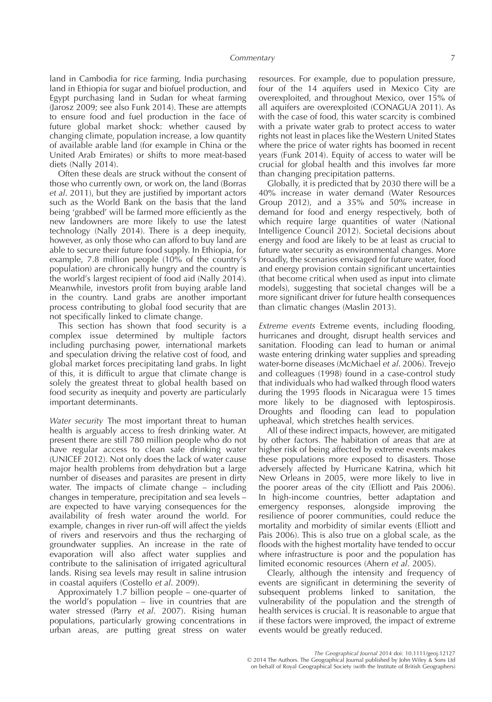land in Cambodia for rice farming, India purchasing land in Ethiopia for sugar and biofuel production, and Egypt purchasing land in Sudan for wheat farming (Jarosz 2009; see also Funk 2014). These are attempts to ensure food and fuel production in the face of future global market shock: whether caused by changing climate, population increase, a low quantity of available arable land (for example in China or the United Arab Emirates) or shifts to more meat-based diets (Nally 2014).

Often these deals are struck without the consent of those who currently own, or work on, the land (Borras *et al*. 2011), but they are justified by important actors such as the World Bank on the basis that the land being 'grabbed' will be farmed more efficiently as the new landowners are more likely to use the latest technology (Nally 2014). There is a deep inequity, however, as only those who can afford to buy land are able to secure their future food supply. In Ethiopia, for example, 7.8 million people (10% of the country's population) are chronically hungry and the country is the world's largest recipient of food aid (Nally 2014). Meanwhile, investors profit from buying arable land in the country. Land grabs are another important process contributing to global food security that are not specifically linked to climate change.

This section has shown that food security is a complex issue determined by multiple factors including purchasing power, international markets and speculation driving the relative cost of food, and global market forces precipitating land grabs. In light of this, it is difficult to argue that climate change is solely the greatest threat to global health based on food security as inequity and poverty are particularly important determinants.

*Water security* The most important threat to human health is arguably access to fresh drinking water. At present there are still 780 million people who do not have regular access to clean safe drinking water (UNICEF 2012). Not only does the lack of water cause major health problems from dehydration but a large number of diseases and parasites are present in dirty water. The impacts of climate change – including changes in temperature, precipitation and sea levels – are expected to have varying consequences for the availability of fresh water around the world. For example, changes in river run-off will affect the yields of rivers and reservoirs and thus the recharging of groundwater supplies. An increase in the rate of evaporation will also affect water supplies and contribute to the salinisation of irrigated agricultural lands. Rising sea levels may result in saline intrusion in coastal aquifers (Costello *et al*. 2009).

Approximately 1.7 billion people – one-quarter of the world's population – live in countries that are water stressed (Parry *et al*. 2007). Rising human populations, particularly growing concentrations in urban areas, are putting great stress on water

resources. For example, due to population pressure, four of the 14 aquifers used in Mexico City are overexploited, and throughout Mexico, over 15% of all aquifers are overexploited (CONAGUA 2011). As with the case of food, this water scarcity is combined with a private water grab to protect access to water rights not least in places like the Western United States where the price of water rights has boomed in recent years (Funk 2014). Equity of access to water will be crucial for global health and this involves far more than changing precipitation patterns.

Globally, it is predicted that by 2030 there will be a 40% increase in water demand (Water Resources Group 2012), and a 35% and 50% increase in demand for food and energy respectively, both of which require large quantities of water (National Intelligence Council 2012). Societal decisions about energy and food are likely to be at least as crucial to future water security as environmental changes. More broadly, the scenarios envisaged for future water, food and energy provision contain significant uncertainties (that become critical when used as input into climate models), suggesting that societal changes will be a more significant driver for future health consequences than climatic changes (Maslin 2013).

*Extreme events* Extreme events, including flooding, hurricanes and drought, disrupt health services and sanitation. Flooding can lead to human or animal waste entering drinking water supplies and spreading water-borne diseases (McMichael *et al*. 2006). Trevejo and colleagues (1998) found in a case-control study that individuals who had walked through flood waters during the 1995 floods in Nicaragua were 15 times more likely to be diagnosed with leptospirosis. Droughts and flooding can lead to population upheaval, which stretches health services.

All of these indirect impacts, however, are mitigated by other factors. The habitation of areas that are at higher risk of being affected by extreme events makes these populations more exposed to disasters. Those adversely affected by Hurricane Katrina, which hit New Orleans in 2005, were more likely to live in the poorer areas of the city (Elliott and Pais 2006). In high-income countries, better adaptation and emergency responses, alongside improving the resilience of poorer communities, could reduce the mortality and morbidity of similar events (Elliott and Pais 2006). This is also true on a global scale, as the floods with the highest mortality have tended to occur where infrastructure is poor and the population has limited economic resources (Ahern *et al*. 2005).

Clearly, although the intensity and frequency of events are significant in determining the severity of subsequent problems linked to sanitation, the vulnerability of the population and the strength of health services is crucial. It is reasonable to argue that if these factors were improved, the impact of extreme events would be greatly reduced.

*The Geographical Journal 2*014 doi: 10.1111/geoj.12127<br>© 2014 The Authors. The Geographical Journal published by John Wiley & Sons Ltd<br>on behalf of Royal Geographical Society (with the Institute of British Geographers)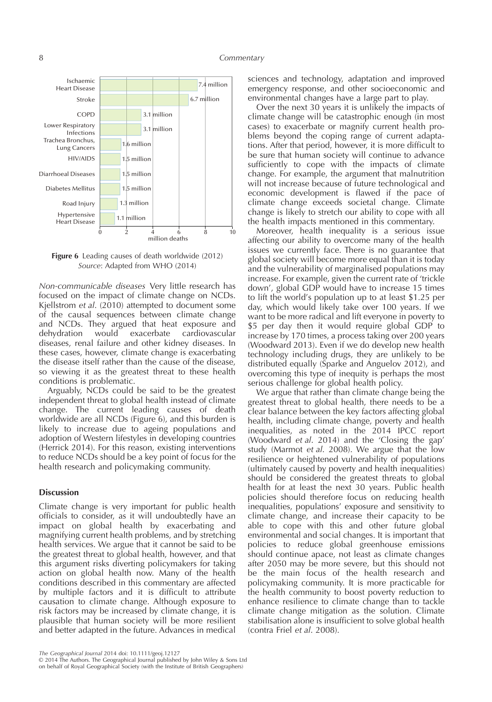

**Figure 6** Leading causes of death worldwide (2012) *Source*: Adapted from WHO (2014)

*Non-communicable diseases* Very little research has focused on the impact of climate change on NCDs. Kjellstrom *et al*. (2010) attempted to document some of the causal sequences between climate change and NCDs. They argued that heat exposure and dehydration would exacerbate cardiovascular dehydration would exacerbate cardiovascular diseases, renal failure and other kidney diseases. In these cases, however, climate change is exacerbating the disease itself rather than the cause of the disease, so viewing it as the greatest threat to these health conditions is problematic.

Arguably, NCDs could be said to be the greatest independent threat to global health instead of climate change. The current leading causes of death worldwide are all NCDs (Figure 6), and this burden is likely to increase due to ageing populations and adoption of Western lifestyles in developing countries (Herrick 2014). For this reason, existing interventions to reduce NCDs should be a key point of focus for the health research and policymaking community.

#### **Discussion**

Climate change is very important for public health officials to consider, as it will undoubtedly have an impact on global health by exacerbating and magnifying current health problems, and by stretching health services. We argue that it cannot be said to be the greatest threat to global health, however, and that this argument risks diverting policymakers for taking action on global health now. Many of the health conditions described in this commentary are affected by multiple factors and it is difficult to attribute causation to climate change. Although exposure to risk factors may be increased by climate change, it is plausible that human society will be more resilient and better adapted in the future. Advances in medical

sciences and technology, adaptation and improved emergency response, and other socioeconomic and environmental changes have a large part to play.

Over the next 30 years it is unlikely the impacts of climate change will be catastrophic enough (in most cases) to exacerbate or magnify current health problems beyond the coping range of current adaptations. After that period, however, it is more difficult to be sure that human society will continue to advance sufficiently to cope with the impacts of climate change. For example, the argument that malnutrition will not increase because of future technological and economic development is flawed if the pace of climate change exceeds societal change. Climate change is likely to stretch our ability to cope with all the health impacts mentioned in this commentary.

Moreover, health inequality is a serious issue affecting our ability to overcome many of the health issues we currently face. There is no guarantee that global society will become more equal than it is today and the vulnerability of marginalised populations may increase. For example, given the current rate of 'trickle down', global GDP would have to increase 15 times to lift the world's population up to at least \$1.25 per day, which would likely take over 100 years. If we want to be more radical and lift everyone in poverty to \$5 per day then it would require global GDP to increase by 170 times, a process taking over 200 years (Woodward 2013). Even if we do develop new health technology including drugs, they are unlikely to be distributed equally (Sparke and Anguelov 2012), and overcoming this type of inequity is perhaps the most serious challenge for global health policy.

We argue that rather than climate change being the greatest threat to global health, there needs to be a clear balance between the key factors affecting global health, including climate change, poverty and health inequalities, as noted in the 2014 IPCC report (Woodward *et al*. 2014) and the 'Closing the gap' study (Marmot *et al*. 2008). We argue that the low resilience or heightened vulnerability of populations (ultimately caused by poverty and health inequalities) should be considered the greatest threats to global health for at least the next 30 years. Public health policies should therefore focus on reducing health inequalities, populations' exposure and sensitivity to climate change, and increase their capacity to be able to cope with this and other future global environmental and social changes. It is important that policies to reduce global greenhouse emissions should continue apace, not least as climate changes after 2050 may be more severe, but this should not be the main focus of the health research and policymaking community. It is more practicable for the health community to boost poverty reduction to enhance resilience to climate change than to tackle climate change mitigation as the solution. Climate stabilisation alone is insufficient to solve global health (contra Friel *et al*. 2008).

*The Geographical Journal* 2014 doi: 10.1111/geoj.12127<br>© 2014 The Authors. The Geographical Journal published by John Wiley & Sons Ltd<br>on behalf of Royal Geographical Society (with the Institute of British Geographers)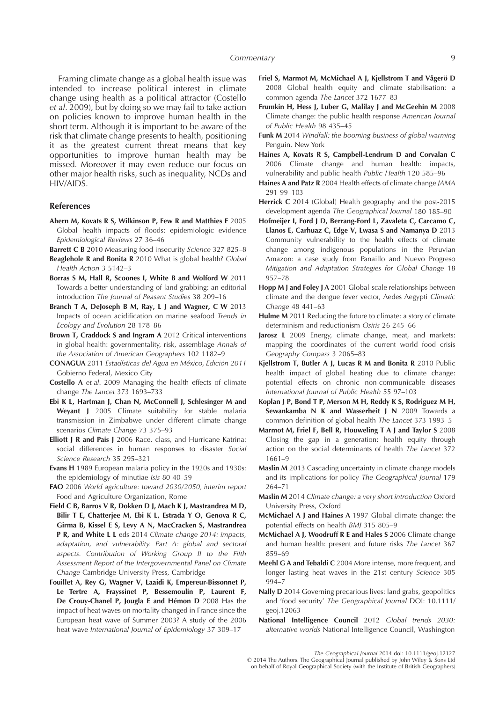Framing climate change as a global health issue was intended to increase political interest in climate change using health as a political attractor (Costello *et al*. 2009), but by doing so we may fail to take action on policies known to improve human health in the short term. Although it is important to be aware of the risk that climate change presents to health, positioning it as the greatest current threat means that key opportunities to improve human health may be missed. Moreover it may even reduce our focus on other major health risks, such as inequality, NCDs and HIV/AIDS.

#### **References**

- **Ahern M, Kovats R S, Wilkinson P, Few R and Matthies F** 2005 Global health impacts of floods: epidemiologic evidence *Epidemiological Reviews* 27 36–46
- **Barrett C B** 2010 Measuring food insecurity *Science* 327 825–8
- **Beaglehole R and Bonita R** 2010 What is global health? *Global Health Action* 3 5142–3
- **Borras S M, Hall R, Scoones I, White B and Wolford W** 2011 Towards a better understanding of land grabbing: an editorial introduction *The Journal of Peasant Studies* 38 209–16
- **Branch T A, DeJoseph B M, Ray, L J and Wagner, C W** 2013 Impacts of ocean acidification on marine seafood *Trends in Ecology and Evolution* 28 178–86
- **Brown T, Craddock S and Ingram A** 2012 Critical interventions in global health: governmentality, risk, assemblage *Annals of the Association of American Geographers* 102 1182–9
- **CONAGUA** 2011 *Estadísticas del Agua en México, Edición 2011* Gobierno Federal, Mexico City
- **Costello A** *et al*. 2009 Managing the health effects of climate change *The Lancet* 373 1693–733
- **Ebi K L, Hartman J, Chan N, McConnell J, Schlesinger M and Weyant J** 2005 Climate suitability for stable malaria transmission in Zimbabwe under different climate change scenarios *Climate Change* 73 375–93
- **Elliott J R and Pais J** 2006 Race, class, and Hurricane Katrina: social differences in human responses to disaster *Social Science Research* 35 295–321
- **Evans H** 1989 European malaria policy in the 1920s and 1930s: the epidemiology of minutiae *Isis* 80 40–59
- **FAO** 2006 *World agriculture: toward 2030/2050, interim report* Food and Agriculture Organization, Rome
- **Field C B, Barros V R, Dokken D J, Mach K J, Mastrandrea M D, Bilir T E, Chatterjee M, Ebi K L, Estrada Y O, Genova R C, Girma B, Kissel E S, Levy A N, MacCracken S, Mastrandrea P R, and White L L** eds 2014 *Climate change 2014: impacts, adaptation, and vulnerability. Part A: global and sectoral aspects. Contribution of Working Group II to the Fifth Assessment Report of the Intergovernmental Panel on Climate Change* Cambridge University Press, Cambridge
- **Fouillet A, Rey G, Wagner V, Laaidi K, Empereur-Bissonnet P, Le Tertre A, Frayssinet P, Bessemoulin P, Laurent F, De Crouy-Chanel P, Jougla E and Hémon D** 2008 Has the impact of heat waves on mortality changed in France since the European heat wave of Summer 2003? A study of the 2006 heat wave *International Journal of Epidemiology* 37 309–17
- **Friel S, Marmot M, McMichael A J, Kjellstrom T and Vågerö D** 2008 Global health equity and climate stabilisation: a common agenda *The Lancet* 372 1677–83
- **Frumkin H, Hess J, Luber G, Malilay J and McGeehin M** 2008 Climate change: the public health response *American Journal of Public Health* 98 435–45
- **Funk M** 2014 *Windfall: the booming business of global warming* Penguin, New York
- **Haines A, Kovats R S, Campbell-Lendrum D and Corvalan C** 2006 Climate change and human health: impacts, vulnerability and public health *Public Health* 120 585–96
- **Haines A and Patz R** 2004 Health effects of climate change *JAMA* 291 99–103
- **Herrick C** 2014 (Global) Health geography and the post-2015 development agenda *The Geographical Journal* 180 185–90
- **Hofmeijer I, Ford J D, Berrang-Ford L, Zavaleta C, Carcamo C, Llanos E, Carhuaz C, Edge V, Lwasa S and Namanya D** 2013 Community vulnerability to the health effects of climate change among indigenous populations in the Peruvian Amazon: a case study from Panaillo and Nuevo Progreso *Mitigation and Adaptation Strategies for Global Change* 18 957–78
- **Hopp M J and Foley J A** 2001 Global-scale relationships between climate and the dengue fever vector, Aedes Aegypti *Climatic Change* 48 441–63
- **Hulme M** 2011 Reducing the future to climate: a story of climate determinism and reductionism *Osiris* 26 245–66
- **Jarosz L** 2009 Energy, climate change, meat, and markets: mapping the coordinates of the current world food crisis *Geography Compass* 3 2065–83
- **Kjellstrom T, Butler A J, Lucas R M and Bonita R** 2010 Public health impact of global heating due to climate change: potential effects on chronic non-communicable diseases *International Journal of Public Health* 55 97–103
- **Koplan J P, Bond T P, Merson M H, Reddy K S, Rodriguez M H, Sewankamba N K and Wasserheit J N** 2009 Towards a common definition of global health *The Lancet* 373 1993–5
- **Marmot M, Friel F, Bell R, Houweling T A J and Taylor S** 2008 Closing the gap in a generation: health equity through action on the social determinants of health *The Lancet* 372 1661–9
- **Maslin M** 2013 Cascading uncertainty in climate change models and its implications for policy *The Geographical Journal* 179 264–71
- **Maslin M** 2014 *Climate change: a very short introduction* Oxford University Press, Oxford
- **McMichael A J and Haines A** 1997 Global climate change: the potential effects on health *BMJ* 315 805–9
- **McMichael A J, Woodruff R E and Hales S** 2006 Climate change and human health: present and future risks *The Lancet* 367 859–69
- **Meehl G A and Tebaldi C** 2004 More intense, more frequent, and longer lasting heat waves in the 21st century *Science* 305 994–7
- **Nally D** 2014 Governing precarious lives: land grabs, geopolitics and 'food security' *The Geographical Journal* DOI: 10.1111/ geoj.12063
- **National Intelligence Council** 2012 *Global trends 2030: alternative worlds* National Intelligence Council, Washington

*The Geographical Journal* 2014 doi: 10.1111/geoj.12127 © 2014 The Authors. The Geographical Journal published by John Wiley & Sons Ltd on behalf of Royal Geographical Society (with the Institute of British Geographers)